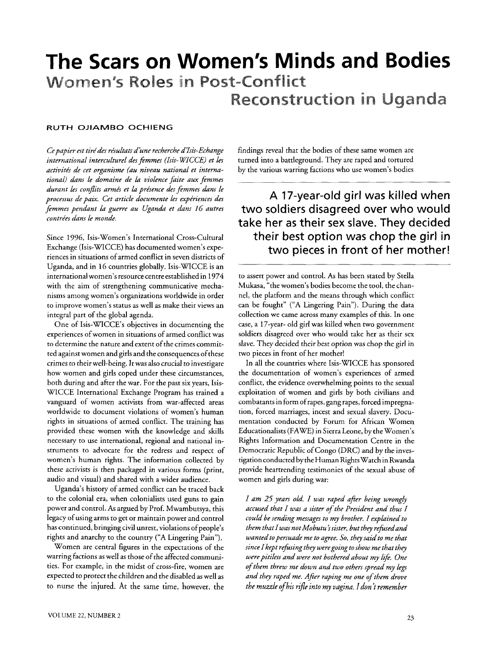# **The Scars on Women's Minds and Bodies**  Women's Roles in Post-Conflict Reconstruction **in** Uganda

## **RUTH OJIAMBO OCHIENG**

*international interculturel des femmes (Isis-WICCE) et les activités de cet organisme (au niveau national et interna-* by the various warring factions who use women's bodies *tional) dans le domaine de la violence faite aux femmes*  durant les conflits armés et la présence des femmes dans le

Since 1996, Isis-Women's International Cross-Cultural Exchange (Isis-WICCE) has documented women's experiences in situations of armed conflict in seven districts of Uganda, and in 16 countries globally. Isis-WICCE is an international women's resource centre established in 1974 with the aim of strengthening communicative mechanisms among women's organizations worldwide in order to improve women's status as well as make their views an integral part of the global agenda.

One of Isis-WICCE's objectives in documenting the experiences ofwomen in situations of armed conflict was to determine the nature and extent of the crimes committed against women and girls and the consequences of these crimes to their well-being. It was also crucial to investigate how women and girls coped under these circumstances, both during and after the war. For the past six years, Isis-WICCE International Exchange Program has trained a vanguard of women activists from war-affected areas worldwide to document violations of women's human rights in situations of armed conflict. The training has provided these women with the knowledge and skills necessary to use international, regional and national instruments to advocate for the redress and respect of women's human rights. The information collected by these activists is then packaged in various forms (print, audio and visual) and shared with a wider audience.

Uganda's history of armed conflict can be traced back to the colonial era, when colonialists used guns to gain power and control. As argued by Prof. Mwambutsya, this legacy of using arms to get or maintain power and control has continued, bringing civil unrest, violations of people's rights and anarchy to the country ("A Lingering Pain").

Women are central figures in the expectations of the warring factions as well as those of the affected communities. For example, in the midst of cross-fire, women are expected to protect the children and the disabled as well as to nurse the injured. At the same time, however, the

*Ce papier est tiré des résultats d'une recherche d'Isis-Echange* findings reveal that the bodies of these same women are<br>international interculturel des femmes (Isis-WICCE) et les turned into a battleground. They are rape

*processus de paix. Cet article documente les expériences des* A 17-year-old girl was killed when<br>*femmes pendant la guerre au Uganda et dans 16 autres* two soldiers disagreed over who would *femmes pendant la guerre au Uganda et dans 16 autres* **two soldiers disagreed over who would** *contrées dans le monde.*  $\frac{1}{2}$  **take her as their sex slave. They decided** their best option was chop the girl in two pieces in front of her mother!

> to assert power and control. **As** has been stated by Stella Mukasa, "the women's bodies become the tool, the channel, the platform and the means through which conflict can be fought" ("A Lingering Pain"). During the data collection we came across many examples of this. In one case, a 17-year- old girl was killed when two government soldiers disagreed over who would take her as their sex slave. They decided their best option was chop the girl in two pieces in front of her mother!

> In all the countries where Isis-WICCE has sponsored the documentation of women's experiences of armed conflict, the evidence overwhelming points to the sexual exploitation of women and girls by both civilians and combatants in form of rapes, gang rapes, forced impregnation, forced marriages, incest and sexual slavery. Documentation conducted by Forum for African Women Educationalists (FAWE) in Sierra Leone, by the Women's Rights Information and Documentation Centre in the Democratic Republic of Congo (DRC) and by the investigation conducted by the Human Rights Watch in Rwanda provide heartrending testimonies of the sexual abuse of women and girls during war:

*I am 25 years old. I was raped afier being wrongly accused that I was a sister of the President and thus I could be sending messages to my brother. I explained to*  them that I was not Mobutu's sister, but they refused and *wanted to persuade me to agree. So, they said to me that since I kept refusing they were going to show me that they were pitiless and were not bothered about my lifp. One* . . *of them threw me down and two others spread my legs and they raped me. After raping me one of them drove the muzzle ofhis rzjle into my vagina. I don't remember*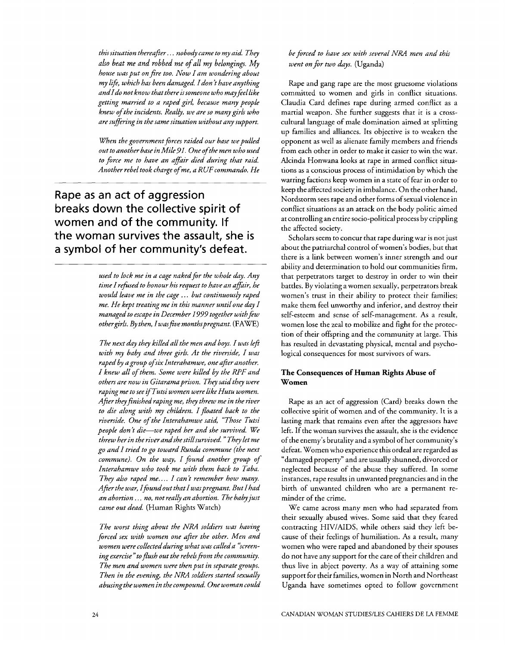*thissituation thereafter.* . . *nobody came to my aid. They also beat me and robbed me of all my belongings. My house was put on fire too. Now I am wondering about my l\$e, which has been damaged. Idon t have anything andldo not know that there issomeone who mayfeellike getting married to a raped girl, because many people knew of the incidents. Really, we are SO many girls who are suffering in the same situation without any support.* 

*When the government forces raided our base we pulled out to another base in Mile91. One ofthe men who used to force me to have an affair died during that raid. Another rebel took charge of me, a RUFcommando. He* 

Rape as an act of aggression breaks down the collective spirit of women and of the community. If the woman survives the assault, she is a symbol of her community's defeat.

> used to lock me in a cage naked for the whole day. Any *time I refised to honour his request to have an affair, he would leave me in the cage* . . . *but continuously raped me. He kept treating me in this manner untilone day I*  managed to escape in December 1999 together with few *othergirlS. By then, Iwasfivemonthspregnant.* (FAWE)

> *The next day they killed all the men and boys. I was left with my baby and three girls. At the riverside, I was raped by agroup ofsix Interahamwe, one after another. I knew all of them. Some were killed by the RPF and others are now in Gitarama prison. They said they were raping me to see zj'Tutsi women were like Hutu women. After they finished raping me, they threw me in the river to die along with my children. I floated back to the riverside. One of the Interahamwe said, "Those Tutsi people don't die-we raped her and she survived. We threw her in the river andshe stillsuwived.* " *Thy let me xo and I tried to go toward Runda commune (the next commune). On the way, I found another group of Interahamwe who took me with them back to Taba. They also raped me.... I can't remember how many. After the war, Ifoundout that I waspregnant. But Ihad an abortion* . . . *no, not really an abortion. The babyjust came out dead.* (Human Rights Watch)

> *The worst thinx about the NRA sokdiers was having forced sex with women one after the other. Men and*  women were collected during what was called a "screening exercise" to flush out the rebels from the community. *The men and women were then put in separategroups. Then in the evening, the NRA soldiers started sexually abusingthe women in the compound. One woman could*

*be forced to have sex with several* NRA *men and this went on for two days.* (Uganda)

Rape and gang rape are the most gruesome violations committed to women and girls in conflict situations. Claudia Card defines rape during armed conflict as a martial weapon. She further suggests that it is a crosscultural language of male domination aimed at splitting up families and alliances. Its objective is to weaken the opponent as well as alienate family members and friends from each other in order to make it easier to win the war. Alcinda Honwana looks at rape in armed conflict situations as a conscious process of intimidation by which the warring factions keep women in a state of fear in order to keep the affected society in imbalance. On the other hand, Nordstorm sees rape and other forms of sexual violence in conflict situations as an attack on the body politic aimed at controlling an entire socio-political process by crippling the affected society.

Scholars seem to concur that rape during war is not just about the patriarchal control of women's bodies, but that there is a link between women's inner strength and our ability and determination to hold our communities firm, that perpetrators target to destroy in order to win their battles. By violating a women sexually, perpetrators break women's trust in their ability to protect their families; make them feel unworthy and inferior, and destroy their self-esteem and sense of self-management. **As** a result, women lose the zeal to mobilize and fight for the protection of their offspring and the community at large. This has resulted in devastating physical, mental and psychological consequences for most survivors of wars.

## **The Consequences of Human Rights Abuse of Women**

Rape as an act of aggression (Card) breaks down the collective spirit of women and of the community. It is a lasting mark that remains even after the aggressors have left. If the woman survives the assault, she is the evidence of the enemy's brutality and a symbol of her community's defeat. Women who experience this ordeal are regarded as "damaged property" and are usually shunned, divorced or neglected because of the abuse they suffered. In some instances, rape results in unwanted pregnancies and in the birth of unwanted children who are a permanent reminder of the crime.

We came across many men who had separated from their sexually abused wives. Some said that they feared contracting HIVIAIDS, while others said they left because of their feelings of humiliation. **As** a result, many women who were raped and abandoned by their spouses do not have any support for the care of their children and thus live in abject poverty. **As** a way of attaining some support for their families, women in North and Northeast Uganda have sometimes opted to follow government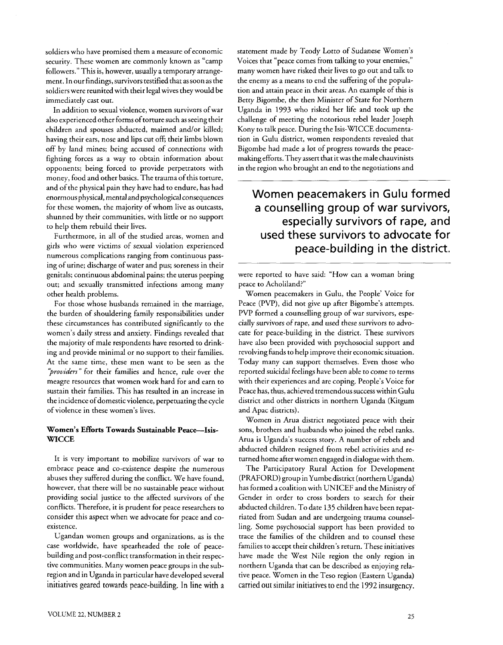soldiers who have promised them a measure of economic security. These women are commonly known as "camp followers." This is, however, usually a temporary arrangement. In our findings, survivors testified that as soon as the soldiers were reunited with their legal wives they would be immediately cast out.

In addition to sexual violence, women survivors of war also experienced other forms of torture such as seeing their children and spouses abducted, maimed and/or killed; having their ears, nose and lips cut off; their limbs blown off by land mines; being accused of connections with fighting forces as a way to obtain information about opponents; being forced to provide perpetrators with money, food and other basics. The trauma of this torture, and of the physical pain they have had to endure, has had enormous physical, mental and psychological consequences for these women, the majority of whom live as outcasts, shunned by their communities, with little or no support to help them rebuild their lives.

Furthermore, in all of the studied areas, women and girls who were victims of sexual violation experienced numerous complications ranging from continuous passing of urine; discharge of water and pus; soreness in their genitals; continuous abdominal pains; the uterus peeping out; and sexually transmitted infections among many other health problems.

For those whose husbands remained in the marriage, the burden of shouldering family responsibilities under these circumstances has contributed significantly to the women's daily stress and anxiety. Findings revealed that the majority of male respondents have resorted to drinking and provide minimal or no support to their families. At the same time, these men want to be seen as the "providers" for their families and hence, rule over the meagre resources that women work hard for and earn to sustain their families. This has resulted in an increase in the incidence of domestic violence, perpetuating the cycle of violence in these women's lives.

### **Women's Efforts Towards Sustainable Peace-Isis-WICCE**

It is very important to mobilize survivors of war to embrace peace and CO-existence despite the numerous abuses they suffered during the conflict. We have found, however, that there will be no sustainable peace without providing social justice to the affected survivors of the conflicts. Therefore, it is prudent for peace researchers to consider this aspect when we advocate for peace and coexistence.

Ugandan women groups and organizations, as is the case worldwide, have spearheaded the role of peacebuilding and post-conflict transformation in their respective communities. Many women peace groups in the subregion and in Uganda in particular have developed several initiatives geared towards peace-building. In line with a statement made by Teody Lotto of Sudanese Women's Voices that "peace comes from talking to your enemies," many women have risked their lives to go out and talk to the enemy as a means to end the suffering of the population and attain peace in their areas. An example of this is Betty Bigombe, the then Minister of State for Northern Uganda in 1993 who risked her life and took up the challenge of meeting the notorious rebel leader Joseph Kony to talk peace. During the Isis-WICCE documentation in Gulu district, women respondents revealed that Bigombe had made a lot of progress towards the peacemaking efforts. They assert that itwas the male chauvinists in the region who brought an end to the negotiations and

# Women peacemakers in Gulu formed a counselling group of war survivors. especially survivors of rape, and used these survivors to advocate for peace-building in the district.

were reported to have said: "How can a woman bring peace to Acholiland?"

Women peacemakers in Gulu, the People' Voice for Peace (PVP), did not give up after Bigombe's attempts. PVP formed a counselling group of war survivors, especially survivors of rape, and used these survivors to advocate for peace-building in the district. These survivors have also been provided with psychosocial support and revolving funds to help improve their economic situation. Today many can support themselves. Even those who reported suicidal feelings have been able to come to terms with their experiences and are coping. People's Voice for Peace has, thus, achieved tremendous success within Gulu district and other districts in northern Uganda (Kitgum and Apac districts).

Women in Arua district negotiated peace with their sons, brothers and husbands who joined the rebel ranks. Arua is Uganda's success story. A number of rebels and abducted children resigned from rebel activities and returned home after women engaged in dialogue with them.

The Participatory Rural Action for Development (PRAFORD) group in Yumbe district (northern Uganda) has formed a coalition with UNICEF and the Ministry of Gender in order to cross borders to search for their abducted children. To date 135 children have been repatriated from Sudan and are undergoing trauma counselling. Some psychosocial support has been provided to trace the families of the children and to counsel these families to accept their children's return. These initiatives have made the West Nile region the only region in northern Uganda that can be described as enjoying relative peace. Women in the Teso region (Eastern Uganda) carried out similar initiatives to end the 1992 insurgency.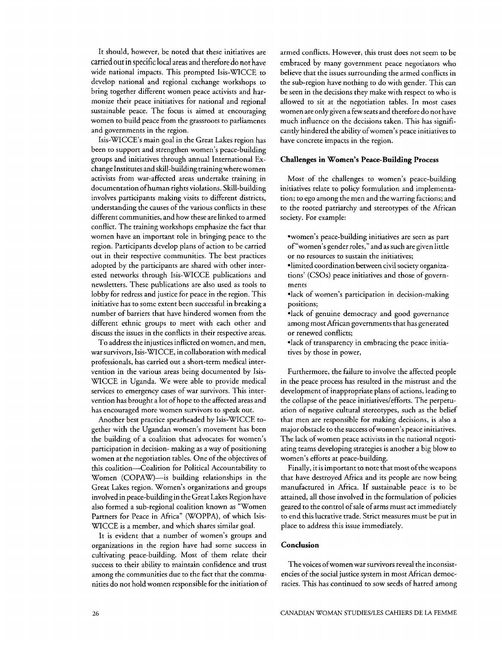It should, however, be noted that these initiatives are carried out in specific local areas and therefore do not have wide national impacts. This prompted Isis-WICCE to develop national and regional exchange workshops to bring together different women peace activists and harmonize their peace initiatives for national and regional sustainable peace. The focus is aimed at encouraging women to build peace from the grassroots to parliaments and governments in the region.

Isis-WICCE's main goal in the Great Lakes region has been to support and strengthen women's peace-building groups and initiatives through annual International Exchange Institutes and skill-building trainingwherewomen activists from war-affected areas undertake training in documentation ofhuman rights violations. Skill-building involves participants making visits to different districts, understanding the causes of the various conflicts in these different communities, and how these are linked to armed conflict. The training workshops emphasize the fact that women have an important role in bringing peace to the region. Participants develop plans of action to be carried out in their respective communities. The best practices adopted by the participants are shared with other interested networks through Isis-WICCE publications and newsletters. These publications are also used as tools to lobby for redress and justice for peace in the region. This initiative has to some extent been successful in breaking a number of barriers that have hindered women from the different ethnic groups to meet with each other and discuss the issues in the conflicts in their respective areas.

To address the injustices inflicted on women, and men, war survivors, Isis-WICCE, in collaboration with medical professionals, has carried out a short-term medical intervention in the various areas being documented by Isis-WICCE in Uganda. We were able to provide medical services to emergency cases of war survivors. This intervention has brought a lot of hope to the affected areas and has encouraged more women survivors to speak out.

Another best practice spearheaded by Isis-WICCE together with the Ugandan women's movement has been the building of a coalition that advocates for women's participation in decision- making as a way of positioning women at the negotiation tables. One of the objectives of this coalition-Coalition for Political Accountability to Women (COPAW)--is building relationships in the Great Lakes region. Women's organizations and groups involved in peace-building in the Great Lakes Region have also formed a sub-regional coalition known as "Women Partners for Peace in Africa" (WOPPA), of which Isis-WICCE is a member, and which shares similar goal.

It is evident that a number of women's groups and organizations in the region have had some success in cultivating peace-building. Most of them relate their success to their ability to maintain confidence and trust among the communities due to the fact that the communities do not hold women responsible for the initiation of armed conflicts. However, this trust does not seem to be embraced by many government peace negotiators who believe that the issues surrounding the armed conflicts in the sub-region have nothing to do with gender. This can be seen in the decisions they make with respect to who is allowed to sit at the negotiation tables. In most cases women are only given a few seats and therefore do not have much influence on the decisions taken. This has significantly hindered the ability ofwomen's peace initiatives to have concrete impacts in the region.

### **Challenges in Women's Peace-Building Process**

Most of the challenges to women's peace-building initiatives relate to policy formulation and implementation; to ego among the men and the warring factions; and to the rooted patriarchy and stereotypes of the African society. For example:

- \*women's peace-building initiatives are seen as part of "women's gender roles," and as such are given little or no resources to sustain the initiatives;
- limited coordination between civil society organizations' (CSOs) peace initiatives and those of governments
- \*lack of women's participation in decision-making positions;
- \*lack of genuine democracy and good governance among most African governments that has generated or renewed conflicts;
- \*lack of transparency in embracing the peace initiatives by those in power,

Furthermore, the failure to involve the affected people in the peace process has resulted in the mistrust and the development of inappropriate plans of actions, leading to the collapse of the peace initiativeslefforts. The perpetuation of negative cultural stereotypes, such as the belief that men are responsible for making decisions, is also a major obstacle to the success ofwomen's peace initiatives. The lack of women peace activists in the national negotiating teams developing strategies is another a big blow to women's efforts at peace-building.

Finally, it is important to note that most of the weapons that have destroyed Africa and its people are now being manufactured in Africa. If sustainable peace is to be attained, all those involved in the formulation of policies geared to the control of sale of arms must act immediately to end this lucrative trade. Strict measures must be put in place to address this issue immediately.

#### **Conclusion**

Thevoices ofwomen war survivors reveal the inconsistencies of the social justice system in most African democracies. This has continued to sow seeds of hatred among